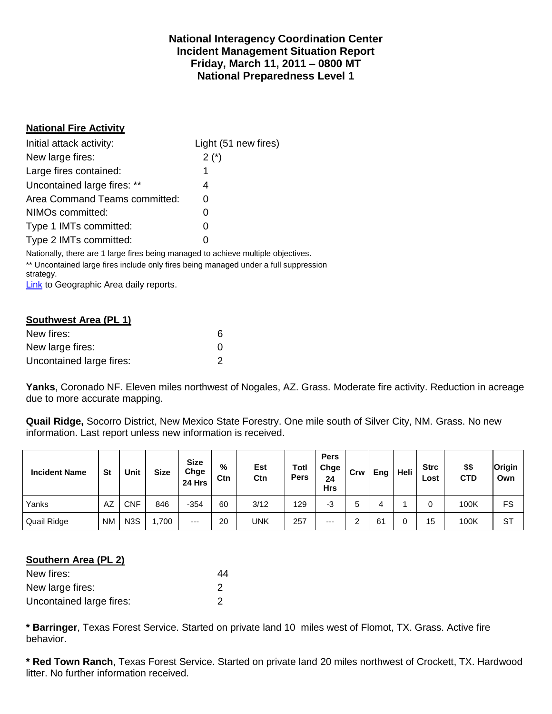### **National Interagency Coordination Center Incident Management Situation Report Friday, March 11, 2011 – 0800 MT National Preparedness Level 1**

### **National Fire Activity**

| Initial attack activity:      | Light (51 new fires) |
|-------------------------------|----------------------|
| New large fires:              | $2(*)$               |
| Large fires contained:        |                      |
| Uncontained large fires: **   | 4                    |
| Area Command Teams committed: | 0                    |
| NIMOs committed:              | O                    |
| Type 1 IMTs committed:        | O                    |
| Type 2 IMTs committed:        | $\mathbf{\Omega}$    |

Nationally, there are 1 large fires being managed to achieve multiple objectives. \*\* Uncontained large fires include only fires being managed under a full suppression strategy.

[Link](http://www.nifc.gov/nicc/predictive/statelinks.htm) to Geographic Area daily reports.

| Southwest Area (PL 1)    |                   |  |  |  |  |  |  |
|--------------------------|-------------------|--|--|--|--|--|--|
| New fires:               | 6                 |  |  |  |  |  |  |
| New large fires:         | $\mathbf{\Omega}$ |  |  |  |  |  |  |
| Uncontained large fires: |                   |  |  |  |  |  |  |

**Yanks**, Coronado NF. Eleven miles northwest of Nogales, AZ. Grass. Moderate fire activity. Reduction in acreage due to more accurate mapping.

**Quail Ridge,** Socorro District, New Mexico State Forestry. One mile south of Silver City, NM. Grass. No new information. Last report unless new information is received.

| <b>Incident Name</b> | <b>St</b> | Unit             | <b>Size</b> | <b>Size</b><br>Chge<br>24 Hrs | %<br>Ctn | Est<br>Ctn | Totl<br><b>Pers</b> | <b>Pers</b><br>Chge<br>24<br><b>Hrs</b> | Crw | Eng | Heli | <b>Strc</b><br>Lost | \$\$<br><b>CTD</b> | Origin<br>Own |
|----------------------|-----------|------------------|-------------|-------------------------------|----------|------------|---------------------|-----------------------------------------|-----|-----|------|---------------------|--------------------|---------------|
| Yanks                | AZ        | CNF              | 846         | $-354$                        | 60       | 3/12       | 129                 | -3                                      | 5   |     |      |                     | 100K               | FS            |
| Quail Ridge          | <b>NM</b> | N <sub>3</sub> S | ,700        | $---$                         | 20       | <b>UNK</b> | 257                 | $---$                                   |     | 61  |      | 15                  | 100K               | <b>ST</b>     |

### **Southern Area (PL 2)**

| New fires:               | 44 |
|--------------------------|----|
| New large fires:         |    |
| Uncontained large fires: |    |

**\* Barringer**, Texas Forest Service. Started on private land 10 miles west of Flomot, TX. Grass. Active fire behavior.

**\* Red Town Ranch**, Texas Forest Service. Started on private land 20 miles northwest of Crockett, TX. Hardwood litter. No further information received.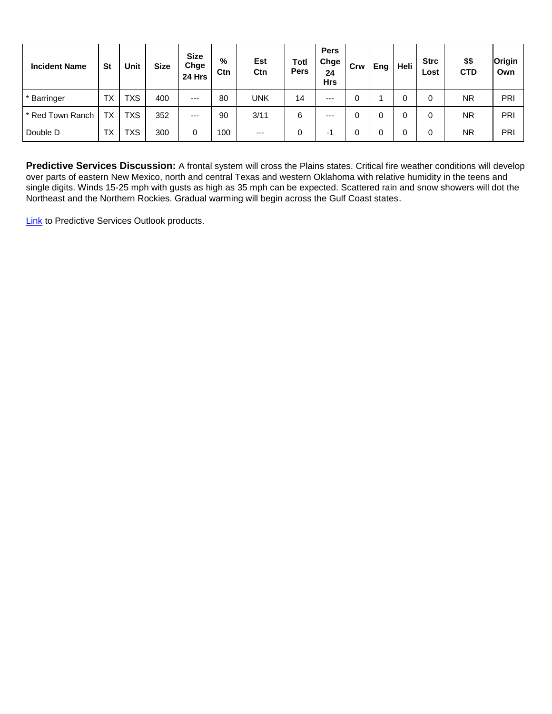| <b>Incident Name</b> | <b>St</b> | Unit       | <b>Size</b> | <b>Size</b><br>Chge<br>24 Hrs | %<br>Ctn | Est<br>Ctn | <b>Totl</b><br><b>Pers</b> | <b>Pers</b><br>Chge<br>24<br><b>Hrs</b> | Crw | Eng | Heli | <b>Strc</b><br>Lost | \$\$<br><b>CTD</b> | Origin<br>Own |
|----------------------|-----------|------------|-------------|-------------------------------|----------|------------|----------------------------|-----------------------------------------|-----|-----|------|---------------------|--------------------|---------------|
| * Barringer          | <b>TX</b> | <b>TXS</b> | 400         | $---$                         | 80       | <b>UNK</b> | 14                         | $---$                                   |     |     |      | 0                   | <b>NR</b>          | PRI           |
| * Red Town Ranch     | <b>TX</b> | <b>TXS</b> | 352         | $---$                         | 90       | 3/11       | 6                          | $--$                                    |     |     |      | 0                   | <b>NR</b>          | PRI           |
| Double D             | <b>TX</b> | TXS        | 300         | 0                             | 100      | $---$      | 0                          | ÷                                       |     |     |      | 0                   | <b>NR</b>          | PRI           |

**Predictive Services Discussion:** A frontal system will cross the Plains states. Critical fire weather conditions will develop over parts of eastern New Mexico, north and central Texas and western Oklahoma with relative humidity in the teens and single digits. Winds 15-25 mph with gusts as high as 35 mph can be expected. Scattered rain and snow showers will dot the Northeast and the Northern Rockies. Gradual warming will begin across the Gulf Coast states.

**[Link](http://www.predictiveservices.nifc.gov/outlooks/outlooks.htm)** to Predictive Services Outlook products.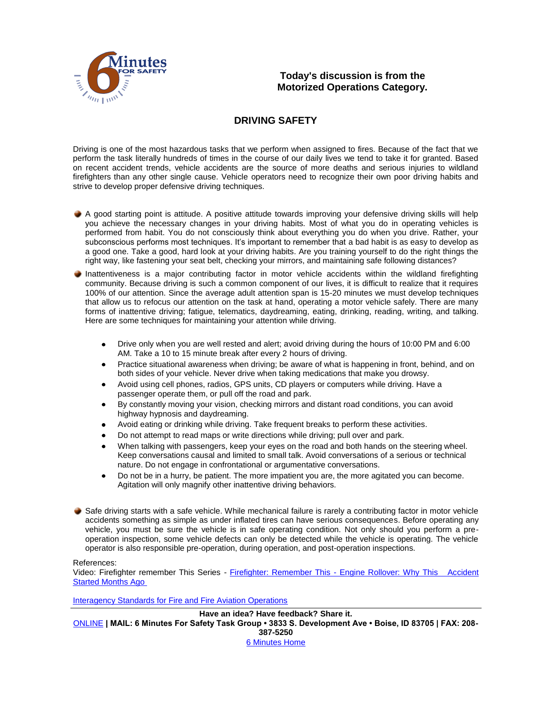

### **Today's discussion is from the Motorized Operations Category.**

### **DRIVING SAFETY**

Driving is one of the most hazardous tasks that we perform when assigned to fires. Because of the fact that we perform the task literally hundreds of times in the course of our daily lives we tend to take it for granted. Based on recent accident trends, vehicle accidents are the source of more deaths and serious injuries to wildland firefighters than any other single cause. Vehicle operators need to recognize their own poor driving habits and strive to develop proper defensive driving techniques.

- A good starting point is attitude. A positive attitude towards improving your defensive driving skills will help you achieve the necessary changes in your driving habits. Most of what you do in operating vehicles is performed from habit. You do not consciously think about everything you do when you drive. Rather, your subconscious performs most techniques. It's important to remember that a bad habit is as easy to develop as a good one. Take a good, hard look at your driving habits. Are you training yourself to do the right things the right way, like fastening your seat belt, checking your mirrors, and maintaining safe following distances?
- Inattentiveness is a major contributing factor in motor vehicle accidents within the wildland firefighting community. Because driving is such a common component of our lives, it is difficult to realize that it requires 100% of our attention. Since the average adult attention span is 15-20 minutes we must develop techniques that allow us to refocus our attention on the task at hand, operating a motor vehicle safely. There are many forms of inattentive driving; fatigue, telematics, daydreaming, eating, drinking, reading, writing, and talking. Here are some techniques for maintaining your attention while driving.
	- Drive only when you are well rested and alert; avoid driving during the hours of 10:00 PM and 6:00  $\bullet$ AM. Take a 10 to 15 minute break after every 2 hours of driving.
	- Practice situational awareness when driving; be aware of what is happening in front, behind, and on both sides of your vehicle. Never drive when taking medications that make you drowsy.
	- Avoid using cell phones, radios, GPS units, CD players or computers while driving. Have a passenger operate them, or pull off the road and park.
	- By constantly moving your vision, checking mirrors and distant road conditions, you can avoid highway hypnosis and daydreaming.
	- Avoid eating or drinking while driving. Take frequent breaks to perform these activities.
	- Do not attempt to read maps or write directions while driving; pull over and park.
	- When talking with passengers, keep your eyes on the road and both hands on the steering wheel. Keep conversations causal and limited to small talk. Avoid conversations of a serious or technical nature. Do not engage in confrontational or argumentative conversations.
	- Do not be in a hurry, be patient. The more impatient you are, the more agitated you can become. Agitation will only magnify other inattentive driving behaviors.
- Safe driving starts with a safe vehicle. While mechanical failure is rarely a contributing factor in motor vehicle accidents something as simple as under inflated tires can have serious consequences. Before operating any vehicle, you must be sure the vehicle is in safe operating condition. Not only should you perform a preoperation inspection, some vehicle defects can only be detected while the vehicle is operating. The vehicle operator is also responsible pre-operation, during operation, and post-operation inspections.

#### References:

Video: Firefighter remember This Series - Firefighter: Remember This - [Engine Rollover: Why This Accident](http://www.myfirevideos.net/Default.aspx?VideoID=340)  [Started Months Ago](http://www.myfirevideos.net/Default.aspx?VideoID=340)

[Interagency Standards for Fire and Fire Aviation Operations](http://www.nifc.gov/policies/red_book.htm)

**Have an idea? Have feedback? Share it.** [ONLINE](http://www.surveygizmo.com/s/179981/6-minutes-for-safety) **| MAIL: 6 Minutes For Safety Task Group • 3833 S. Development Ave • Boise, ID 83705 | FAX: 208- 387-5250**  [6 Minutes Home](http://www.wildfirelessons.net/uploads/6mfs/home.html)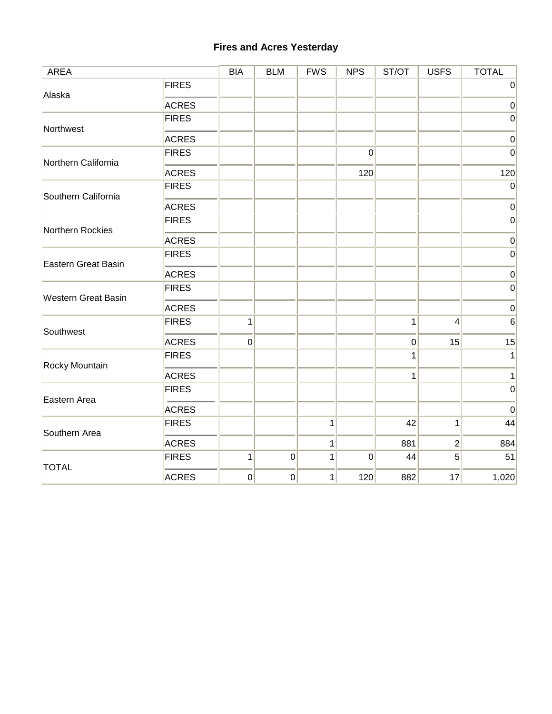# **Fires and Acres Yesterday**

| <b>AREA</b>                                                    |              | <b>BIA</b>     | <b>BLM</b>     | <b>FWS</b> | <b>NPS</b>       | ST/OT       | <b>USFS</b>                               | <b>TOTAL</b> |
|----------------------------------------------------------------|--------------|----------------|----------------|------------|------------------|-------------|-------------------------------------------|--------------|
| Alaska                                                         | <b>FIRES</b> |                |                |            |                  |             |                                           | $\mathbf 0$  |
|                                                                | <b>ACRES</b> |                |                |            |                  |             |                                           | $\pmb{0}$    |
| Northwest                                                      | <b>FIRES</b> |                |                |            |                  |             |                                           | $\mathbf 0$  |
|                                                                | <b>ACRES</b> |                |                |            |                  |             |                                           | $\mathbf 0$  |
| Northern California<br>Southern California<br>Northern Rockies | <b>FIRES</b> |                |                |            | $\boldsymbol{0}$ |             |                                           | $\mathbf 0$  |
|                                                                | <b>ACRES</b> |                |                |            | 120              |             | 4<br>15<br>1<br>$\overline{2}$<br>5<br>17 | 120          |
|                                                                | <b>FIRES</b> |                |                |            |                  |             |                                           | $\pmb{0}$    |
|                                                                | <b>ACRES</b> |                |                |            |                  |             |                                           | $\mathbf 0$  |
|                                                                | <b>FIRES</b> |                |                |            |                  |             |                                           | $\mbox{O}$   |
|                                                                | <b>ACRES</b> |                |                |            |                  |             |                                           | $\pmb{0}$    |
| <b>Eastern Great Basin</b>                                     | <b>FIRES</b> |                |                |            |                  |             |                                           | $\mbox{O}$   |
|                                                                | <b>ACRES</b> |                |                |            |                  |             |                                           | $\mathbf 0$  |
|                                                                | <b>FIRES</b> |                |                |            |                  |             |                                           | $\mathbf 0$  |
|                                                                | <b>ACRES</b> |                |                |            |                  |             |                                           | $\mathbf 0$  |
| <b>Western Great Basin</b><br>Southwest<br>Rocky Mountain      | <b>FIRES</b> | $\mathbf 1$    |                |            |                  | $\mathbf 1$ |                                           | $\,6\,$      |
|                                                                | <b>ACRES</b> | $\overline{0}$ |                |            |                  | $\pmb{0}$   |                                           | 15           |
|                                                                | <b>FIRES</b> |                |                |            |                  | 1           |                                           | $\mathbf{1}$ |
|                                                                | <b>ACRES</b> |                |                |            |                  | 1           |                                           | $\mathbf 1$  |
| Eastern Area                                                   | <b>FIRES</b> |                |                |            |                  |             |                                           | $\mbox{O}$   |
|                                                                | <b>ACRES</b> |                |                |            |                  |             |                                           | $\pmb{0}$    |
| Southern Area                                                  | <b>FIRES</b> |                |                | 1          |                  | 42          |                                           | 44           |
|                                                                | <b>ACRES</b> |                |                | 1          |                  | 881         |                                           | 884          |
| <b>TOTAL</b>                                                   | <b>FIRES</b> | $\mathbf{1}$   | $\overline{0}$ | 1          | $\boldsymbol{0}$ | 44          |                                           | 51           |
|                                                                | <b>ACRES</b> | $\overline{0}$ | $\overline{0}$ | 1          | 120              | 882         |                                           | 1,020        |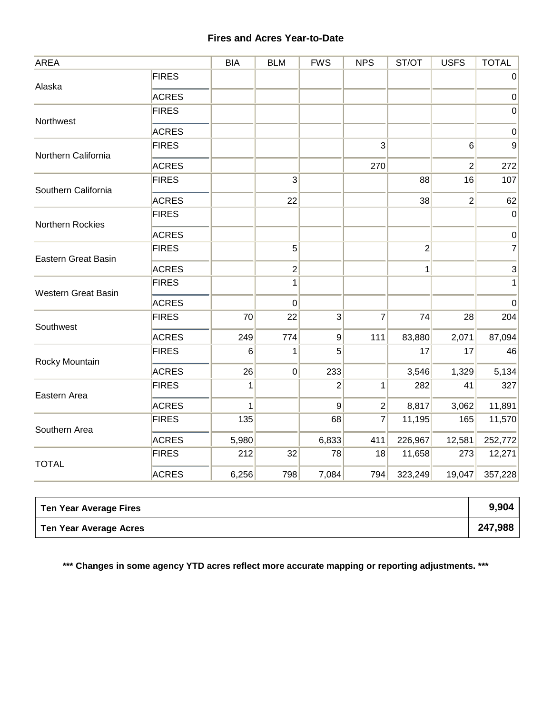# **Fires and Acres Year-to-Date**

| <b>AREA</b>                                                                                |              | <b>BIA</b> | <b>BLM</b>     | <b>FWS</b>     | <b>NPS</b>                                                                                                                                                     | ST/OT                                           | <b>USFS</b>                                                                                         | <b>TOTAL</b>              |
|--------------------------------------------------------------------------------------------|--------------|------------|----------------|----------------|----------------------------------------------------------------------------------------------------------------------------------------------------------------|-------------------------------------------------|-----------------------------------------------------------------------------------------------------|---------------------------|
| Alaska                                                                                     | <b>FIRES</b> |            |                |                |                                                                                                                                                                |                                                 |                                                                                                     | $\pmb{0}$                 |
|                                                                                            | <b>ACRES</b> |            |                |                |                                                                                                                                                                |                                                 | $\overline{2}$<br>16<br>28<br>2,071<br>17<br>1,329<br>41<br>3,062<br>165<br>12,581<br>273<br>19,047 | $\pmb{0}$                 |
| Northwest                                                                                  | <b>FIRES</b> |            |                |                |                                                                                                                                                                |                                                 |                                                                                                     | $\boldsymbol{0}$          |
|                                                                                            | <b>ACRES</b> |            |                |                |                                                                                                                                                                |                                                 |                                                                                                     | $\pmb{0}$                 |
| Northern California                                                                        | <b>FIRES</b> |            |                |                | 3                                                                                                                                                              |                                                 | 6                                                                                                   | 9                         |
|                                                                                            | <b>ACRES</b> |            |                |                | 270                                                                                                                                                            |                                                 |                                                                                                     | 272                       |
| Southern California                                                                        | <b>FIRES</b> |            | $\overline{3}$ |                |                                                                                                                                                                | 88                                              |                                                                                                     | 107                       |
|                                                                                            | <b>ACRES</b> |            | 22             |                | 38<br>$\overline{2}$<br>$\overline{2}$<br>1<br>$\overline{3}$<br>7<br>74<br>$\overline{9}$<br>83,880<br>111<br>$5\overline{)}$<br>17<br>3,546<br>2<br>282<br>1 | 62                                              |                                                                                                     |                           |
| Northern Rockies                                                                           | <b>FIRES</b> |            |                |                |                                                                                                                                                                |                                                 |                                                                                                     | $\boldsymbol{0}$          |
|                                                                                            | <b>ACRES</b> |            |                |                |                                                                                                                                                                |                                                 |                                                                                                     | $\pmb{0}$                 |
| <b>Eastern Great Basin</b>                                                                 | <b>FIRES</b> |            | 5              |                |                                                                                                                                                                |                                                 |                                                                                                     | $\overline{7}$            |
|                                                                                            | <b>ACRES</b> |            | $\overline{c}$ |                |                                                                                                                                                                |                                                 |                                                                                                     | $\ensuremath{\mathsf{3}}$ |
|                                                                                            | <b>FIRES</b> |            | 1              |                |                                                                                                                                                                |                                                 |                                                                                                     | $\mathbf{1}$              |
|                                                                                            | <b>ACRES</b> |            | 0              |                |                                                                                                                                                                | 8,817<br>11,195<br>226,967<br>11,658<br>323,249 | $\pmb{0}$                                                                                           |                           |
| <b>Western Great Basin</b><br>Southwest<br>Rocky Mountain<br>Eastern Area<br>Southern Area | <b>FIRES</b> | 70         | 22             |                |                                                                                                                                                                |                                                 |                                                                                                     | 204                       |
|                                                                                            | <b>ACRES</b> | 249        | 774            |                |                                                                                                                                                                |                                                 |                                                                                                     | 87,094                    |
| <b>TOTAL</b>                                                                               | <b>FIRES</b> | 6          | 1              |                |                                                                                                                                                                |                                                 |                                                                                                     | 46                        |
|                                                                                            | <b>ACRES</b> | 26         | $\overline{0}$ | 233            |                                                                                                                                                                |                                                 |                                                                                                     | 5,134                     |
|                                                                                            | <b>FIRES</b> | 1          |                |                |                                                                                                                                                                |                                                 |                                                                                                     | 327                       |
|                                                                                            | <b>ACRES</b> | 1          |                | $\overline{9}$ | 2                                                                                                                                                              |                                                 |                                                                                                     | 11,891                    |
|                                                                                            | <b>FIRES</b> | 135        |                | 68             | 7                                                                                                                                                              |                                                 |                                                                                                     | 11,570                    |
|                                                                                            | <b>ACRES</b> | 5,980      |                | 6,833          | 411                                                                                                                                                            |                                                 |                                                                                                     | 252,772                   |
|                                                                                            | <b>FIRES</b> | 212        | 32             | 78             | 18                                                                                                                                                             |                                                 |                                                                                                     | 12,271                    |
|                                                                                            | <b>ACRES</b> | 6,256      | 798            | 7,084          | 794                                                                                                                                                            |                                                 |                                                                                                     | 357,228                   |

| <b>Ten Year Average Fires</b> | 9,904   |
|-------------------------------|---------|
| Ten Year Average Acres        | 247,988 |

**\*\*\* Changes in some agency YTD acres reflect more accurate mapping or reporting adjustments. \*\*\***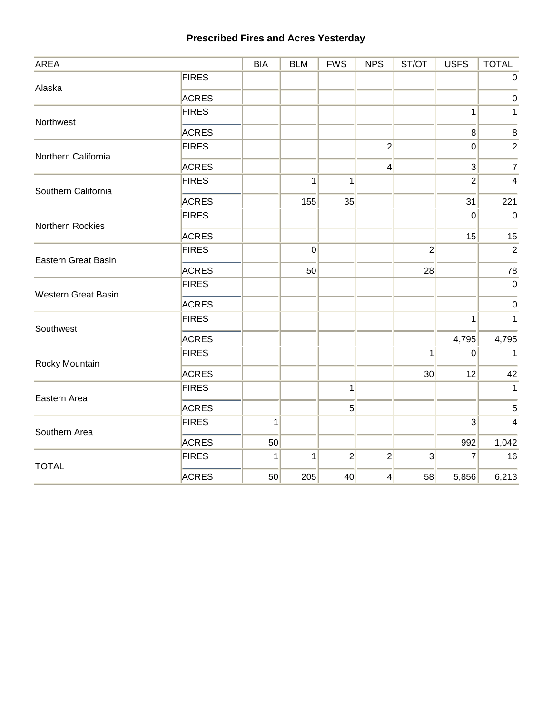# **Prescribed Fires and Acres Yesterday**

| <b>AREA</b>                                                                                                                                                                                                |              | <b>BIA</b>   | <b>BLM</b>     | <b>FWS</b>     | <b>NPS</b>     | ST/OT          | <b>USFS</b>                                                                                                | <b>TOTAL</b>   |
|------------------------------------------------------------------------------------------------------------------------------------------------------------------------------------------------------------|--------------|--------------|----------------|----------------|----------------|----------------|------------------------------------------------------------------------------------------------------------|----------------|
|                                                                                                                                                                                                            | <b>FIRES</b> |              |                |                |                |                |                                                                                                            | $\mathbf 0$    |
|                                                                                                                                                                                                            | <b>ACRES</b> |              |                |                |                |                |                                                                                                            | $\pmb{0}$      |
| Alaska<br>Northwest<br>Northern California<br>Southern California<br>Northern Rockies<br>Eastern Great Basin<br><b>Western Great Basin</b><br>Southwest<br>Rocky Mountain<br>Eastern Area<br>Southern Area | <b>FIRES</b> |              |                |                |                |                | $\mathbf{1}$                                                                                               | 1              |
|                                                                                                                                                                                                            | <b>ACRES</b> |              |                |                |                |                | 8                                                                                                          | $\,8\,$        |
|                                                                                                                                                                                                            | <b>FIRES</b> |              |                |                | $\overline{2}$ |                | 0                                                                                                          | $\sqrt{2}$     |
|                                                                                                                                                                                                            | <b>ACRES</b> |              |                |                | 4              |                | $\overline{3}$                                                                                             | $\overline{7}$ |
|                                                                                                                                                                                                            | <b>FIRES</b> |              | $\mathbf{1}$   | 1              |                |                | $\overline{2}$                                                                                             | 4              |
|                                                                                                                                                                                                            | <b>ACRES</b> |              | 155            | 35             |                |                | 31<br>$\mathbf 0$<br>15<br>$\mathbf{1}$<br>4,795<br>$\pmb{0}$<br>12<br>$\overline{3}$<br>992<br>7<br>5,856 | 221            |
|                                                                                                                                                                                                            | <b>FIRES</b> |              |                |                |                |                |                                                                                                            | $\mathbf 0$    |
|                                                                                                                                                                                                            | <b>ACRES</b> |              |                |                |                |                |                                                                                                            | 15             |
|                                                                                                                                                                                                            | <b>FIRES</b> |              | $\overline{0}$ |                |                | $\overline{2}$ |                                                                                                            | $\overline{2}$ |
|                                                                                                                                                                                                            | <b>ACRES</b> |              | 50             |                |                | 28             |                                                                                                            | 78             |
|                                                                                                                                                                                                            | <b>FIRES</b> |              |                |                |                |                |                                                                                                            | $\mathbf 0$    |
|                                                                                                                                                                                                            | <b>ACRES</b> |              |                |                |                |                |                                                                                                            | $\pmb{0}$      |
|                                                                                                                                                                                                            | <b>FIRES</b> |              |                |                |                |                |                                                                                                            | $\mathbf{1}$   |
|                                                                                                                                                                                                            | <b>ACRES</b> |              |                |                |                |                |                                                                                                            | 4,795          |
|                                                                                                                                                                                                            | <b>FIRES</b> |              |                |                |                | 1              |                                                                                                            | $\mathbf 1$    |
|                                                                                                                                                                                                            | <b>ACRES</b> |              |                |                |                | 30             |                                                                                                            | 42             |
|                                                                                                                                                                                                            | <b>FIRES</b> |              |                | $\mathbf 1$    |                |                |                                                                                                            | $\mathbf{1}$   |
|                                                                                                                                                                                                            | <b>ACRES</b> |              |                | 5              |                |                |                                                                                                            | 5              |
|                                                                                                                                                                                                            | <b>FIRES</b> | $\mathbf{1}$ |                |                |                |                |                                                                                                            | 4              |
|                                                                                                                                                                                                            | <b>ACRES</b> | 50           |                |                |                |                |                                                                                                            | 1,042          |
| <b>TOTAL</b>                                                                                                                                                                                               | <b>FIRES</b> | 1            | $\mathbf{1}$   | $\overline{c}$ | $\overline{c}$ | $\mathbf{3}$   |                                                                                                            | 16             |
|                                                                                                                                                                                                            | <b>ACRES</b> | 50           | 205            | 40             | 4              | 58             |                                                                                                            | 6,213          |